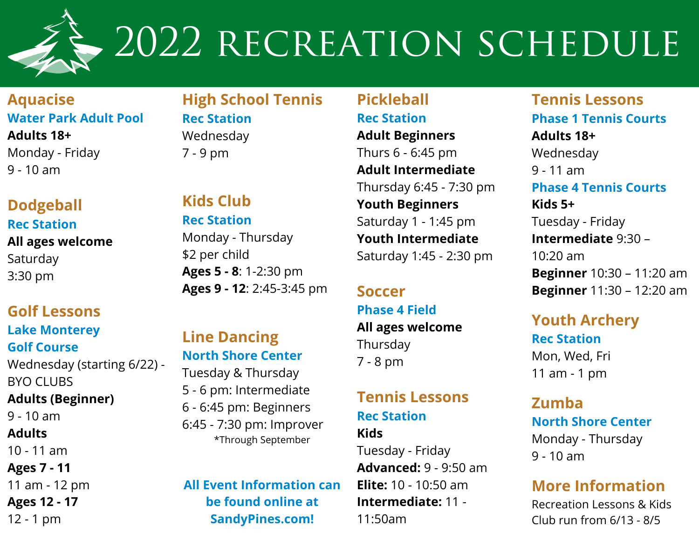

## 2022 RECREATION SCHEDULE

**Aquacise Water Park Adult Pool Adults 18+** Monday - Friday

9 - 10 am

**Dodgeball Rec Station**

### **All ages welcome** Saturday

3:30 pm

### **Golf Lessons**

**Lake Monterey Golf Course** Wednesday (starting 6/22) - BYO CLUBS **Adults (Beginner)**  $9 - 10$  am **Adults** 10 - 11 am **Ages 7 - 11** 11 am - 12 pm **Ages 12 - 17**

12 - 1 pm

#### **High School Tennis Rec Station** Wednesday 7 - 9 pm

#### **Kids Club Rec Station** Monday - Thursday \$2 per child

**Ages 5 - 8**: 1-2:30 pm **Ages 9 - 12**: 2:45-3:45 pm

**Line Dancing North Shore Center**

Tuesday & Thursday 5 - 6 pm: Intermediate 6 - 6:45 pm: Beginners 6:45 - 7:30 pm: Improver

\*Through September

**All Event Information can be found online at SandyPines.com!**

#### **Pickleball Rec Station**

**Adult Beginners** Thurs 6 - 6:45 pm **Adult Intermediate** Thursday 6:45 - 7:30 pm **Youth Beginners** Saturday 1 - 1:45 pm **Youth Intermediate** Saturday 1:45 - 2:30 pm

#### **Soccer**

**Phase 4 Field All ages welcome** Thursday 7 - 8 pm

### **Tennis Lessons Rec Station**

**Kids** Tuesday - Friday **Advanced:** 9 - 9:50 am **Elite:** 10 - 10:50 am **Intermediate:** 11 - 11:50am

**Tennis Lessons Phase 1 Tennis Courts Adults 18+** Wednesday 9 - 11 am **Phase 4 Tennis Courts Kids 5+** Tuesday - Friday **Intermediate** 9:30 – 10:20 am **Beginner** 10:30 – 11:20 am **Beginner** 11:30 – 12:20 am

#### **Youth Archery Rec Station** Mon, Wed, Fri 11 am - 1 pm

**Zumba North Shore Center** Monday - Thursday 9 - 10 am

#### **More Information**

Recreation Lessons & Kids Club run from 6/13 - 8/5